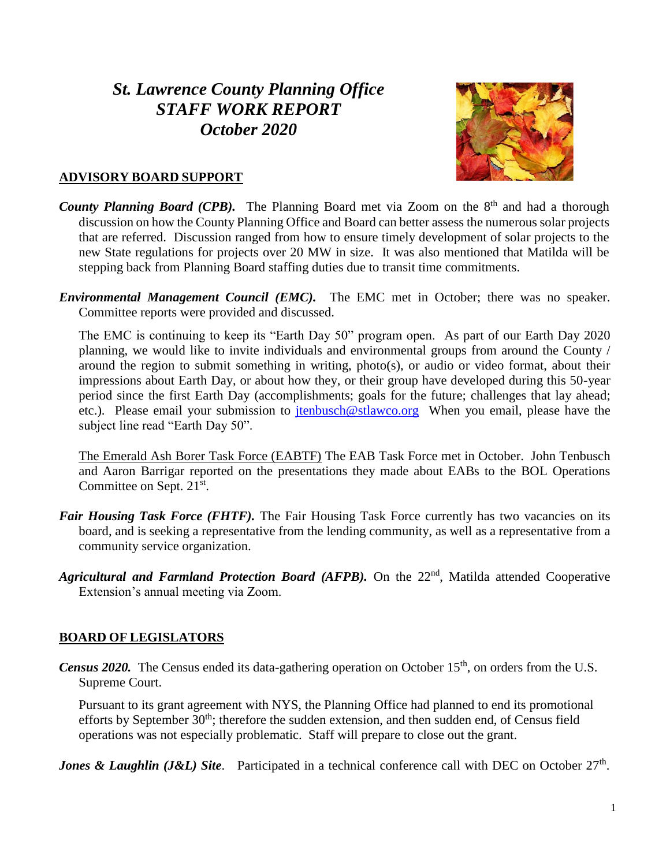# *St. Lawrence County Planning Office STAFF WORK REPORT October 2020*



#### **ADVISORY BOARD SUPPORT**

- County Planning Board (CPB). The Planning Board met via Zoom on the 8<sup>th</sup> and had a thorough discussion on how the County Planning Office and Board can better assess the numerous solar projects that are referred. Discussion ranged from how to ensure timely development of solar projects to the new State regulations for projects over 20 MW in size. It was also mentioned that Matilda will be stepping back from Planning Board staffing duties due to transit time commitments.
- *Environmental Management Council (EMC).* The EMC met in October; there was no speaker. Committee reports were provided and discussed.

The EMC is continuing to keep its "Earth Day 50" program open. As part of our Earth Day 2020 planning, we would like to invite individuals and environmental groups from around the County / around the region to submit something in writing, photo(s), or audio or video format, about their impressions about Earth Day, or about how they, or their group have developed during this 50-year period since the first Earth Day (accomplishments; goals for the future; challenges that lay ahead; etc.). Please email your submission to *jtenbusch@stlawco.org* When you email, please have the subject line read "Earth Day 50".

The Emerald Ash Borer Task Force (EABTF) The EAB Task Force met in October. John Tenbusch and Aaron Barrigar reported on the presentations they made about EABs to the BOL Operations Committee on Sept. 21<sup>st</sup>.

- *Fair Housing Task Force (FHTF)*. The Fair Housing Task Force currently has two vacancies on its board, and is seeking a representative from the lending community, as well as a representative from a community service organization.
- Agricultural and Farmland Protection Board (AFPB). On the 22<sup>nd</sup>, Matilda attended Cooperative Extension's annual meeting via Zoom.

# **BOARD OF LEGISLATORS**

*Census 2020.* The Census ended its data-gathering operation on October 15<sup>th</sup>, on orders from the U.S. Supreme Court.

Pursuant to its grant agreement with NYS, the Planning Office had planned to end its promotional efforts by September  $30<sup>th</sup>$ ; therefore the sudden extension, and then sudden end, of Census field operations was not especially problematic. Staff will prepare to close out the grant.

*Jones & Laughlin (J&L) Site.* Participated in a technical conference call with DEC on October 27<sup>th</sup>.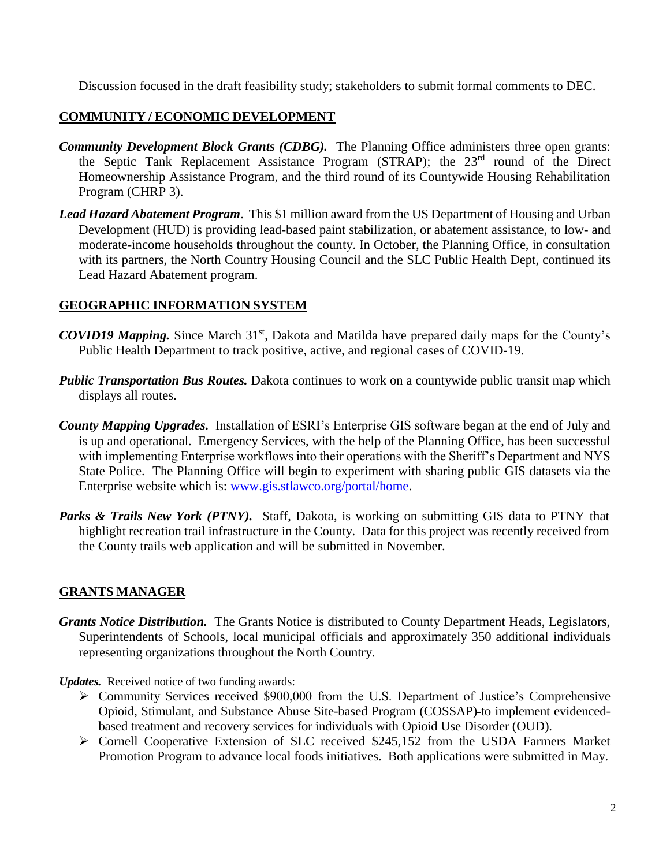Discussion focused in the draft feasibility study; stakeholders to submit formal comments to DEC.

## **COMMUNITY / ECONOMIC DEVELOPMENT**

- *Community Development Block Grants (CDBG).* The Planning Office administers three open grants: the Septic Tank Replacement Assistance Program (STRAP); the 23rd round of the Direct Homeownership Assistance Program, and the third round of its Countywide Housing Rehabilitation Program (CHRP 3).
- *Lead Hazard Abatement Program*. This \$1 million award from the US Department of Housing and Urban Development (HUD) is providing lead-based paint stabilization, or abatement assistance, to low- and moderate-income households throughout the county. In October, the Planning Office, in consultation with its partners, the North Country Housing Council and the SLC Public Health Dept, continued its Lead Hazard Abatement program.

#### **GEOGRAPHIC INFORMATION SYSTEM**

- *COVID19 Mapping.* Since March 31<sup>st</sup>, Dakota and Matilda have prepared daily maps for the County's Public Health Department to track positive, active, and regional cases of COVID-19.
- *Public Transportation Bus Routes.* Dakota continues to work on a countywide public transit map which displays all routes.
- *County Mapping Upgrades.* Installation of ESRI's Enterprise GIS software began at the end of July and is up and operational. Emergency Services, with the help of the Planning Office, has been successful with implementing Enterprise workflows into their operations with the Sheriff's Department and NYS State Police. The Planning Office will begin to experiment with sharing public GIS datasets via the Enterprise website which is: [www.gis.stlawco.org/portal/home.](http://www.gis.stlawco.org/portal/home)
- Parks & Trails New York (PTNY). Staff, Dakota, is working on submitting GIS data to PTNY that highlight recreation trail infrastructure in the County. Data for this project was recently received from the County trails web application and will be submitted in November.

#### **GRANTS MANAGER**

*Grants Notice Distribution.* The Grants Notice is distributed to County Department Heads, Legislators, Superintendents of Schools, local municipal officials and approximately 350 additional individuals representing organizations throughout the North Country.

*Updates.* Received notice of two funding awards:

- Community Services received \$900,000 from the U.S. Department of Justice's Comprehensive Opioid, Stimulant, and Substance Abuse Site-based Program (COSSAP) to implement evidencedbased treatment and recovery services for individuals with Opioid Use Disorder (OUD).
- $\triangleright$  Cornell Cooperative Extension of SLC received \$245,152 from the USDA Farmers Market Promotion Program to advance local foods initiatives. Both applications were submitted in May.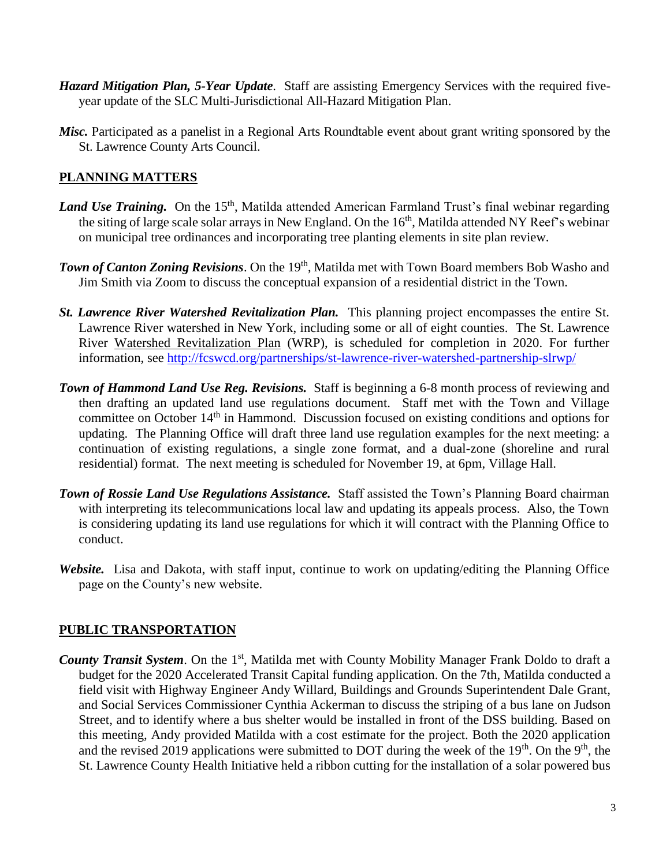- *Hazard Mitigation Plan, 5-Year Update*. Staff are assisting Emergency Services with the required fiveyear update of the SLC Multi-Jurisdictional All-Hazard Mitigation Plan.
- *Misc.* Participated as a panelist in a Regional Arts Roundtable event about grant writing sponsored by the St. Lawrence County Arts Council.

### **PLANNING MATTERS**

- Land Use Training. On the 15<sup>th</sup>, Matilda attended American Farmland Trust's final webinar regarding the siting of large scale solar arrays in New England. On the 16<sup>th</sup>, Matilda attended NY Reef's webinar on municipal tree ordinances and incorporating tree planting elements in site plan review.
- **Town of Canton Zoning Revisions**. On the 19<sup>th</sup>, Matilda met with Town Board members Bob Washo and Jim Smith via Zoom to discuss the conceptual expansion of a residential district in the Town.
- *St. Lawrence River Watershed Revitalization Plan.* This planning project encompasses the entire St. Lawrence River watershed in New York, including some or all of eight counties. The St. Lawrence River Watershed Revitalization Plan (WRP), is scheduled for completion in 2020. For further information, see <http://fcswcd.org/partnerships/st-lawrence-river-watershed-partnership-slrwp/>
- *Town of Hammond Land Use Reg. Revisions.* Staff is beginning a 6-8 month process of reviewing and then drafting an updated land use regulations document. Staff met with the Town and Village committee on October 14<sup>th</sup> in Hammond. Discussion focused on existing conditions and options for updating. The Planning Office will draft three land use regulation examples for the next meeting: a continuation of existing regulations, a single zone format, and a dual-zone (shoreline and rural residential) format. The next meeting is scheduled for November 19, at 6pm, Village Hall.
- *Town of Rossie Land Use Regulations Assistance.* Staff assisted the Town's Planning Board chairman with interpreting its telecommunications local law and updating its appeals process. Also, the Town is considering updating its land use regulations for which it will contract with the Planning Office to conduct.
- *Website.* Lisa and Dakota, with staff input, continue to work on updating/editing the Planning Office page on the County's new website.

# **PUBLIC TRANSPORTATION**

**County Transit System.** On the 1<sup>st</sup>, Matilda met with County Mobility Manager Frank Doldo to draft a budget for the 2020 Accelerated Transit Capital funding application. On the 7th, Matilda conducted a field visit with Highway Engineer Andy Willard, Buildings and Grounds Superintendent Dale Grant, and Social Services Commissioner Cynthia Ackerman to discuss the striping of a bus lane on Judson Street, and to identify where a bus shelter would be installed in front of the DSS building. Based on this meeting, Andy provided Matilda with a cost estimate for the project. Both the 2020 application and the revised 2019 applications were submitted to DOT during the week of the  $19<sup>th</sup>$ . On the  $9<sup>th</sup>$ , the St. Lawrence County Health Initiative held a ribbon cutting for the installation of a solar powered bus